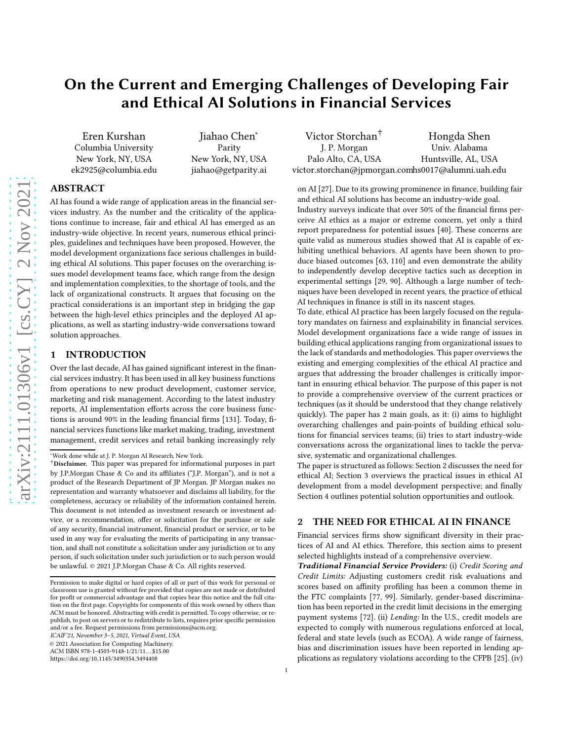# On the Current and Emerging Challenges of Developing Fair and Ethical AI Solutions in Financial Services

Eren Kurshan Columbia University New York, NY, USA ek2925@columbia.edu

Jiahao Chen<sup>∗</sup> Parity New York, NY, USA jiahao@getparity.ai

#### Victor Storchan† J. P. Morgan Palo Alto, CA, USA victor.storchan@jpmorgan.com hs0017@alumni.uah.edu Hongda Shen Univ. Alabama Huntsville, AL, USA

## ABSTRACT

AI has found a wide range of application areas in the financial services industry. As the number and the criticality of the applications continue to increase, fair and ethical AI has emerged as an industry-wide objective. In recent years, numerous ethical principles, guidelines and techniques have been proposed. However, the model development organizations face serious challenges in building ethical AI solutions. This paper focuses on the overarching issues model development teams face, which range from the design and implementation complexities, to the shortage of tools, and the lack of organizational constructs. It argues that focusing on the practical considerations is an important step in bridging the gap between the high-level ethics principles and the deployed AI applications, as well as starting industry-wide conversations toward solution approaches.

#### <span id="page-0-1"></span>1 INTRODUCTION

Over the last decade, AI has gained significant interest in the financial services industry. It has been used in all key business functions from operations to new product development, customer service, marketing and risk management. According to the latest industry reports, AI implementation efforts across the core business functions is around 90% in the leading financial firms [\[131](#page-9-0)]. Today, financial services functions like market making, trading, investment management, credit services and retail banking increasingly rely

ICAIF'21, November 3–5, 2021, Virtual Event, USA

© 2021 Association for Computing Machinery.

https://doi.org/10.[1145/3490354](https://doi.org/10.1145/3490354.3494408).3494408

on AI [\[27\]](#page-7-0). Due to its growing prominence in finance, building fair and ethical AI solutions has become an industry-wide goal.

Industry surveys indicate that over 50% of the financial firms perceive AI ethics as a major or extreme concern, yet only a third report preparedness for potential issues [\[40](#page-8-0)]. These concerns are quite valid as numerous studies showed that AI is capable of exhibiting unethical behaviors. AI agents have been shown to produce biased outcomes [\[63](#page-8-1), [110](#page-9-1)] and even demonstrate the ability to independently develop deceptive tactics such as deception in experimental settings [\[29,](#page-7-1) [90](#page-8-2)]. Although a large number of techniques have been developed in recent years, the practice of ethical AI techniques in finance is still in its nascent stages.

To date, ethical AI practice has been largely focused on the regulatory mandates on fairness and explainability in financial services. Model development organizations face a wide range of issues in building ethical applications ranging from organizational issues to the lack of standards and methodologies. This paper overviews the existing and emerging complexities of the ethical AI practice and argues that addressing the broader challenges is critically important in ensuring ethical behavior. The purpose of this paper is not to provide a comprehensive overview of the current practices or techniques (as it should be understood that they change relatively quickly). The paper has 2 main goals, as it: (i) aims to highlight overarching challenges and pain-points of building ethical solutions for financial services teams; (ii) tries to start industry-wide conversations across the organizational lines to tackle the pervasive, systematic and organizational challenges.

The paper is structured as follows: Section [2](#page-0-0) discusses the need for ethical AI; Section [3](#page-1-0) overviews the practical issues in ethical AI development from a model development perspective; and finally Section [4](#page-7-2) outlines potential solution opportunities and outlook.

#### <span id="page-0-0"></span>2 THE NEED FOR ETHICAL AI IN FINANCE

Financial services firms show significant diversity in their practices of AI and AI ethics. Therefore, this section aims to present selected highlights instead of a comprehensive overview.

Traditional Financial Service Providers: (i) Credit Scoring and Credit Limits: Adjusting customers credit risk evaluations and scores based on affinity profiling has been a common theme in the FTC complaints [\[77,](#page-8-3) [99\]](#page-8-4). Similarly, gender-based discrimination has been reported in the credit limit decisions in the emerging payment systems [\[72](#page-8-5)]. (ii) Lending: In the U.S., credit models are expected to comply with numerous regulations enforced at local, federal and state levels (such as ECOA). A wide range of fairness, bias and discrimination issues have been reported in lending applications as regulatory violations according to the CFPB [\[25\]](#page-7-3). (iv)

<sup>∗</sup>Work done while at J. P. Morgan AI Research, New York.

<sup>†</sup>Disclaimer. This paper was prepared for informational purposes in part by J.P.Morgan Chase & Co and its affiliates ("J.P. Morgan"), and is not a product of the Research Department of JP Morgan. JP Morgan makes no representation and warranty whatsoever and disclaims all liability, for the completeness, accuracy or reliability of the information contained herein. This document is not intended as investment research or investment advice, or a recommendation, offer or solicitation for the purchase or sale of any security, financial instrument, financial product or service, or to be used in any way for evaluating the merits of participating in any transaction, and shall not constitute a solicitation under any jurisdiction or to any person, if such solicitation under such jurisdiction or to such person would be unlawful. © 2021 J.P.Morgan Chase & Co. All rights reserved.

Permission to make digital or hard copies of all or part of this work for personal or classroom use is granted without fee provided that copies are not made or distributed for profit or commercial advantage and that copies bear this notice and the full citation on the first page. Copyrights for components of this work owned by others than ACM must be honored. Abstracting with credit is permitted. To copy otherwise, or republish, to post on servers or to redistribute to lists, requires prior specific permission and/or a fee. Request permissions from permissions@acm.org.

ACM ISBN 978-1-4503-9148-1/21/11. . . \$15.00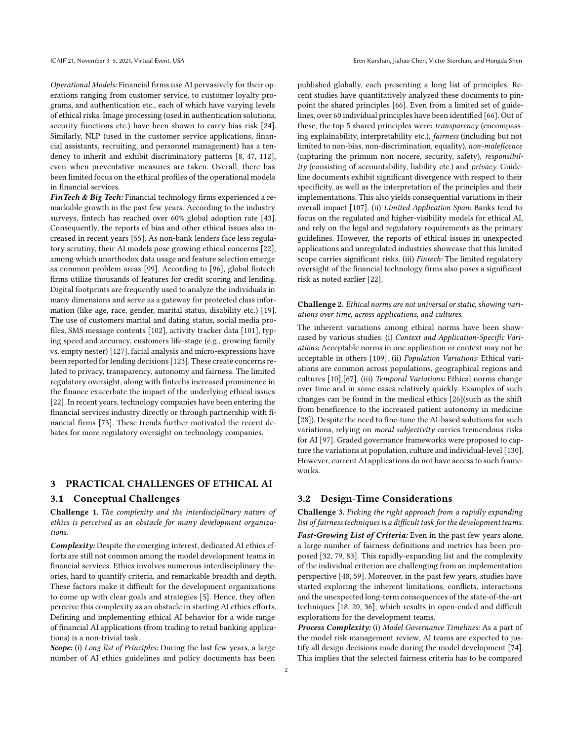Operational Models: Financial firms use AI pervasively for their operations ranging from customer service, to customer loyalty programs, and authentication etc., each of which have varying levels of ethical risks. Image processing (used in authentication solutions, security functions etc.) have been shown to carry bias risk [\[24](#page-7-4)]. Similarly, NLP (used in the customer service applications, financial assistants, recruiting, and personnel management) has a tendency to inherit and exhibit discriminatory patterns [\[8](#page-7-5), [47](#page-8-6), [112\]](#page-9-2), even when preventative measures are taken. Overall, there has been limited focus on the ethical profiles of the operational models in financial services.

FinTech & Big Tech: Financial technology firms experienced a remarkable growth in the past few years. According to the industry surveys, fintech has reached over 60% global adoption rate [\[43](#page-8-7)]. Consequently, the reports of bias and other ethical issues also increased in recent years [\[55](#page-8-8)]. As non-bank lenders face less regulatory scrutiny, their AI models pose growing ethical concerns [\[22\]](#page-7-6), among which unorthodox data usage and feature selection emerge as common problem areas [\[99](#page-8-4)]. According to [\[96\]](#page-8-9), global fintech firms utilize thousands of features for credit scoring and lending. Digital footprints are frequently used to analyze the individuals in many dimensions and serve as a gateway for protected class information (like age, race, gender, marital status, disability etc.) [\[19](#page-7-7)]. The use of customers marital and dating status, social media profiles, SMS message contents [\[102\]](#page-8-10), activity tracker data [\[101](#page-8-11)], typing speed and accuracy, customers life-stage (e.g., growing family vs. empty nester) [\[127\]](#page-9-3), facial analysis and micro-expressions have been reported for lending decisions [\[123\]](#page-9-4). These create concerns related to privacy, transparency, autonomy and fairness. The limited regulatory oversight, along with fintechs increased prominence in the finance exacerbate the impact of the underlying ethical issues [\[22](#page-7-6)]. In recent years, technology companies have been entering the financial services industry directly or through partnership with financial firms [\[73\]](#page-8-12). These trends further motivated the recent debates for more regulatory oversight on technology companies.

### <span id="page-1-0"></span>3 PRACTICAL CHALLENGES OF ETHICAL AI

#### 3.1 Conceptual Challenges

Challenge 1. The complexity and the interdisciplinary nature of ethics is perceived as an obstacle for many development organizations.

Complexity: Despite the emerging interest, dedicated AI ethics efforts are still not common among the model development teams in financial services. Ethics involves numerous interdisciplinary theories, hard to quantify criteria, and remarkable breadth and depth. These factors make it difficult for the development organizations to come up with clear goals and strategies [\[5\]](#page-7-8). Hence, they often perceive this complexity as an obstacle in starting AI ethics efforts. Defining and implementing ethical AI behavior for a wide range of financial AI applications (from trading to retail banking applications) is a non-trivial task.

Scope: (i) Long list of Principles: During the last few years, a large number of AI ethics guidelines and policy documents has been published globally, each presenting a long list of principles. Recent studies have quantitatively analyzed these documents to pinpoint the shared principles [\[66\]](#page-8-13). Even from a limited set of guidelines, over 60 individual principles have been identified [\[66\]](#page-8-13). Out of these, the top 5 shared principles were: transparency (encompassing explainability, interpretability etc.), fairness (including but not limited to non-bias, non-discrimination, equality), non-maleficence (capturing the primum non nocere, security, safety), responsibility (consisting of accountability, liability etc.) and  $\frac{privacy}{}$ . Guideline documents exhibit significant divergence with respect to their specificity, as well as the interpretation of the principles and their implementations. This also yields consequential variations in their overall impact [\[107](#page-9-5)]. (ii) Limited Application Span: Banks tend to focus on the regulated and higher-visibility models for ethical AI, and rely on the legal and regulatory requirements as the primary guidelines. However, the reports of ethical issues in unexpected applications and unregulated industries showcase that this limited scope carries significant risks. (iii) *Fintech:* The limited regulatory oversight of the financial technology firms also poses a significant risk as noted earlier [\[22](#page-7-6)].

#### Challenge 2. Ethical norms are not universal or static, showing variations over time, across applications, and cultures.

The inherent variations among ethical norms have been showcased by various studies: (i) Context and Application-Specific Variations: Acceptable norms in one application or context may not be acceptable in others [\[109\]](#page-9-6). (ii) Population Variations: Ethical variations are common across populations, geographical regions and cultures [\[10\]](#page-7-9),[\[67](#page-8-14)]. (iii) Temporal Variations: Ethical norms change over time and in some cases relatively quickly. Examples of such changes can be found in the medical ethics [\[26\]](#page-7-10)(such as the shift from beneficence to the increased patient autonomy in medicine [\[28\]](#page-7-11)). Despite the need to fine-tune the AI-based solutions for such variations, relying on *moral subjectivity* carries tremendous risks for AI [\[97](#page-8-15)]. Graded governance frameworks were proposed to capture the variations at population, culture and individual-level [\[130\]](#page-9-7). However, current AI applications do not have access to such frameworks.

### 3.2 Design-Time Considerations

Challenge 3. Picking the right approach from a rapidly expanding list of fairness techniques is a difficult task for the development teams.

Fast-Growing List of Criteria: Even in the past few years alone, a large number of fairness definitions and metrics has been proposed [\[32](#page-7-12), [79,](#page-8-16) [83\]](#page-8-17). This rapidly-expanding list and the complexity of the individual criterion are challenging from an implementation perspective [\[48,](#page-8-18) [59](#page-8-19)]. Moreover, in the past few years, studies have started exploring the inherent limitations, conflicts, interactions and the unexpected long-term consequences of the state-of-the-art techniques [\[18,](#page-7-13) [20,](#page-7-14) [36\]](#page-7-15), which results in open-ended and difficult explorations for the development teams.

Process Complexity: (i) Model Governance Timelines: As a part of the model risk management review, AI teams are expected to justify all design decisions made during the model development [\[74\]](#page-8-20). This implies that the selected fairness criteria has to be compared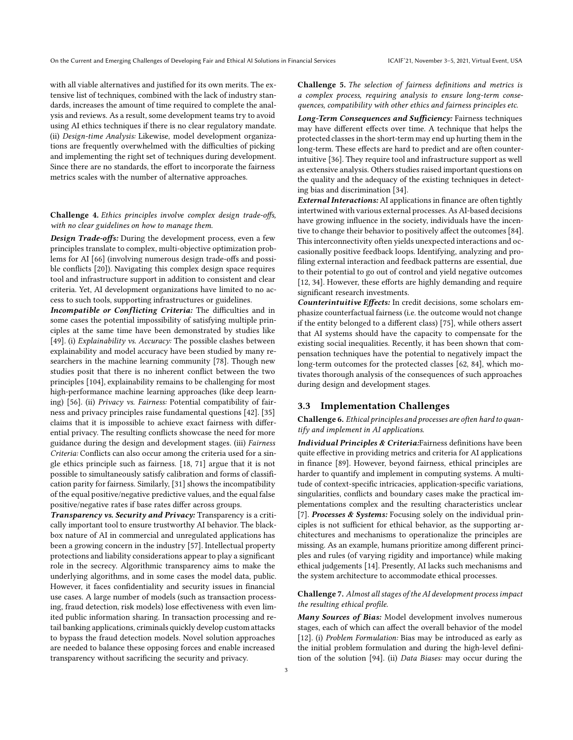with all viable alternatives and justified for its own merits. The extensive list of techniques, combined with the lack of industry standards, increases the amount of time required to complete the analysis and reviews. As a result, some development teams try to avoid using AI ethics techniques if there is no clear regulatory mandate. (ii) Design-time Analysis: Likewise, model development organizations are frequently overwhelmed with the difficulties of picking and implementing the right set of techniques during development. Since there are no standards, the effort to incorporate the fairness metrics scales with the number of alternative approaches.

#### Challenge 4. Ethics principles involve complex design trade-offs, with no clear guidelines on how to manage them.

Design Trade-offs: During the development process, even a few principles translate to complex, multi-objective optimization problems for AI [\[66](#page-8-13)] (involving numerous design trade-offs and possible conflicts [\[20\]](#page-7-14)). Navigating this complex design space requires tool and infrastructure support in addition to consistent and clear criteria. Yet, AI development organizations have limited to no access to such tools, supporting infrastructures or guidelines.

Incompatible or Conflicting Criteria: The difficulties and in some cases the potential impossibility of satisfying multiple principles at the same time have been demonstrated by studies like [\[49](#page-8-21)]. (i) Explainability vs. Accuracy: The possible clashes between explainability and model accuracy have been studied by many researchers in the machine learning community [\[78](#page-8-22)]. Though new studies posit that there is no inherent conflict between the two principles [\[104\]](#page-8-23), explainability remains to be challenging for most high-performance machine learning approaches (like deep learning) [\[56](#page-8-24)]. (ii) Privacy vs. Fairness: Potential compatibility of fairness and privacy principles raise fundamental questions [\[42](#page-8-25)]. [\[35\]](#page-7-16) claims that it is impossible to achieve exact fairness with differential privacy. The resulting conflicts showcase the need for more guidance during the design and development stages. (iii) Fairness Criteria: Conflicts can also occur among the criteria used for a single ethics principle such as fairness. [\[18,](#page-7-13) [71\]](#page-8-26) argue that it is not possible to simultaneously satisfy calibration and forms of classification parity for fairness. Similarly, [\[31\]](#page-7-17) shows the incompatibility of the equal positive/negative predictive values, and the equal false positive/negative rates if base rates differ across groups.

Transparency vs. Security and Privacy: Transparency is a critically important tool to ensure trustworthy AI behavior. The blackbox nature of AI in commercial and unregulated applications has been a growing concern in the industry [\[57\]](#page-8-27). Intellectual property protections and liability considerations appear to play a significant role in the secrecy. Algorithmic transparency aims to make the underlying algorithms, and in some cases the model data, public. However, it faces confidentiality and security issues in financial use cases. A large number of models (such as transaction processing, fraud detection, risk models) lose effectiveness with even limited public information sharing. In transaction processing and retail banking applications, criminals quickly develop custom attacks to bypass the fraud detection models. Novel solution approaches are needed to balance these opposing forces and enable increased transparency without sacrificing the security and privacy.

Challenge 5. The selection of fairness definitions and metrics is a complex process, requiring analysis to ensure long-term consequences, compatibility with other ethics and fairness principles etc.

Long-Term Consequences and Sufficiency: Fairness techniques may have different effects over time. A technique that helps the protected classes in the short-term may end up hurting them in the long-term. These effects are hard to predict and are often counterintuitive [\[36\]](#page-7-15). They require tool and infrastructure support as well as extensive analysis. Others studies raised important questions on the quality and the adequacy of the existing techniques in detecting bias and discrimination [\[34](#page-7-18)].

**External Interactions:** AI applications in finance are often tightly intertwined with various external processes. As AI-based decisions have growing influence in the society, individuals have the incentive to change their behavior to positively affect the outcomes [\[84\]](#page-8-28). This interconnectivity often yields unexpected interactions and occasionally positive feedback loops. Identifying, analyzing and profiling external interaction and feedback patterns are essential, due to their potential to go out of control and yield negative outcomes [\[12,](#page-7-19) [34\]](#page-7-18). However, these efforts are highly demanding and require significant research investments.

Counterintuitive Effects: In credit decisions, some scholars emphasize counterfactual fairness (i.e. the outcome would not change if the entity belonged to a different class) [\[75\]](#page-8-29), while others assert that AI systems should have the capacity to compensate for the existing social inequalities. Recently, it has been shown that compensation techniques have the potential to negatively impact the long-term outcomes for the protected classes [\[62,](#page-8-30) [84\]](#page-8-28), which motivates thorough analysis of the consequences of such approaches during design and development stages.

#### 3.3 Implementation Challenges

#### Challenge 6. Ethical principles and processes are often hard to quantify and implement in AI applications.

Individual Principles & Criteria:Fairness definitions have been quite effective in providing metrics and criteria for AI applications in finance [\[89\]](#page-8-31). However, beyond fairness, ethical principles are harder to quantify and implement in computing systems. A multitude of context-specific intricacies, application-specific variations, singularities, conflicts and boundary cases make the practical implementations complex and the resulting characteristics unclear [\[7](#page-7-20)]. Processes & Systems: Focusing solely on the individual principles is not sufficient for ethical behavior, as the supporting architectures and mechanisms to operationalize the principles are missing. As an example, humans prioritize among different principles and rules (of varying rigidity and importance) while making ethical judgements [\[14\]](#page-7-21). Presently, AI lacks such mechanisms and the system architecture to accommodate ethical processes.

#### Challenge 7. Almost all stages of the AI development process impact the resulting ethical profile.

Many Sources of Bias: Model development involves numerous stages, each of which can affect the overall behavior of the model [\[12\]](#page-7-19). (i) Problem Formulation: Bias may be introduced as early as the initial problem formulation and during the high-level definition of the solution [\[94](#page-8-32)]. (ii) Data Biases: may occur during the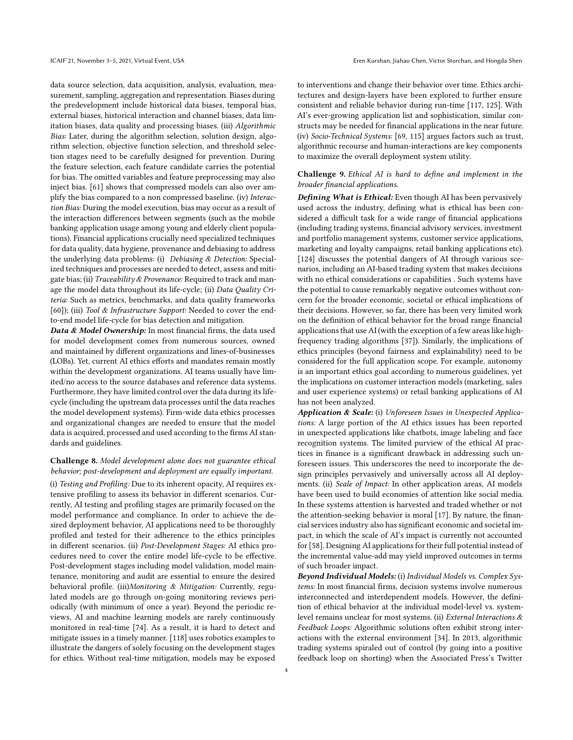data source selection, data acquisition, analysis, evaluation, measurement, sampling, aggregation and representation. Biases during the predevelopment include historical data biases, temporal bias, external biases, historical interaction and channel biases, data limitation biases, data quality and processing biases. (iii) Algorithmic Bias: Later, during the algorithm selection, solution design, algorithm selection, objective function selection, and threshold selection stages need to be carefully designed for prevention. During the feature selection, each feature candidate carries the potential for bias. The omitted variables and feature preprocessing may also inject bias. [\[61\]](#page-8-33) shows that compressed models can also over amplify the bias compared to a non compressed baseline. (iv) Interaction Bias: During the model execution, bias may occur as a result of the interaction differences between segments (such as the mobile banking application usage among young and elderly client populations). Financial applications crucially need specialized techniques for data quality, data hygiene, provenance and debiasing to address the underlying data problems: (i) Debiasing & Detection: Specialized techniques and processes are needed to detect, assess and mitigate bias; (ii) Traceability & Provenance: Required to track and manage the model data throughout its life-cycle; (ii) Data Quality Criteria: Such as metrics, benchmarks, and data quality frameworks [\[60](#page-8-34)]); (iii) Tool & Infrastructure Support: Needed to cover the endto-end model life-cycle for bias detection and mitigation.

Data & Model Ownership: In most financial firms, the data used for model development comes from numerous sources, owned and maintained by different organizations and lines-of-businesses (LOBs). Yet, current AI ethics efforts and mandates remain mostly within the development organizations. AI teams usually have limited/no access to the source databases and reference data systems. Furthermore, they have limited control over the data during its lifecycle (including the upstream data processes until the data reaches the model development systems). Firm-wide data ethics processes and organizational changes are needed to ensure that the model data is acquired, processed and used according to the firms AI standards and guidelines.

#### Challenge 8. Model development alone does not guarantee ethical behavior; post-development and deployment are equally important.

(i) Testing and Profiling: Due to its inherent opacity, AI requires extensive profiling to assess its behavior in different scenarios. Currently, AI testing and profiling stages are primarily focused on the model performance and compliance. In order to achieve the desired deployment behavior, AI applications need to be thoroughly profiled and tested for their adherence to the ethics principles in different scenarios. (ii) Post-Development Stages: AI ethics procedures need to cover the entire model life-cycle to be effective. Post-development stages including model validation, model maintenance, monitoring and audit are essential to ensure the desired behavioral profile. (iii)Monitoring & Mitigation: Currently, regulated models are go through on-going monitoring reviews periodically (with minimum of once a year). Beyond the periodic reviews, AI and machine learning models are rarely continuously monitored in real-time [\[74](#page-8-20)]. As a result, it is hard to detect and mitigate issues in a timely manner. [\[118\]](#page-9-8) uses robotics examples to illustrate the dangers of solely focusing on the development stages for ethics. Without real-time mitigation, models may be exposed

to interventions and change their behavior over time. Ethics architectures and design-layers have been explored to further ensure consistent and reliable behavior during run-time [\[117](#page-9-9), [125\]](#page-9-10). With AI's ever-growing application list and sophistication, similar constructs may be needed for financial applications in the near future. (iv) Socio-Technical Systems: [69, [115\]](#page-9-11) argues factors such as trust, algorithmic recourse and human-interactions are key components to maximize the overall deployment system utility.

#### Challenge 9. Ethical AI is hard to define and implement in the broader financial applications.

Defining What is Ethical: Even though AI has been pervasively used across the industry, defining what is ethical has been considered a difficult task for a wide range of financial applications (including trading systems, financial advisory services, investment and portfolio management systems, customer service applications, marketing and loyalty campaigns, retail banking applications etc). [\[124\]](#page-9-12) discusses the potential dangers of AI through various scenarios, including an AI-based trading system that makes decisions with no ethical considerations or capabilities . Such systems have the potential to cause remarkably negative outcomes without concern for the broader economic, societal or ethical implications of their decisions. However, so far, there has been very limited work on the definition of ethical behavior for the broad range financial applications that use AI (with the exception of a few areas like highfrequency trading algorithms [\[37\]](#page-8-35)). Similarly, the implications of ethics principles (beyond fairness and explainability) need to be considered for the full application scope. For example, autonomy is an important ethics goal according to numerous guidelines, yet the implications on customer interaction models (marketing, sales and user experience systems) or retail banking applications of AI has not been analyzed.

Application & Scale: (i) Unforeseen Issues in Unexpected Applications: A large portion of the AI ethics issues has been reported in unexpected applications like chatbots, image labeling and face recognition systems. The limited purview of the ethical AI practices in finance is a significant drawback in addressing such unforeseen issues. This underscores the need to incorporate the design principles pervasively and universally across all AI deployments. (ii) Scale of Impact: In other application areas, AI models have been used to build economies of attention like social media. In these systems attention is harvested and traded whether or not the attention-seeking behavior is moral [\[17](#page-7-22)]. By nature, the financial services industry also has significant economic and societal impact, in which the scale of AI's impact is currently not accounted for [\[58\]](#page-8-36). Designing AI applications for their full potential instead of the incremental value-add may yield improved outcomes in terms of such broader impact.

Beyond Individual Models: (i) Individual Models vs. Complex Systems: In most financial firms, decision systems involve numerous interconnected and interdependent models. However, the definition of ethical behavior at the individual model-level vs. systemlevel remains unclear for most systems. (ii) External Interactions & Feedback Loops: Algorithmic solutions often exhibit strong interactions with the external environment [\[34\]](#page-7-18). In 2013, algorithmic trading systems spiraled out of control (by going into a positive feedback loop on shorting) when the Associated Press's Twitter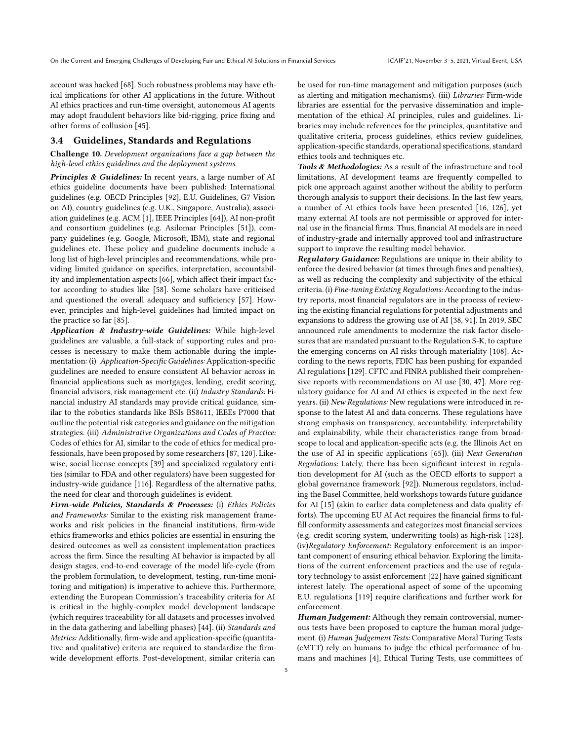account was hacked [\[68](#page-8-37)]. Such robustness problems may have ethical implications for other AI applications in the future. Without AI ethics practices and run-time oversight, autonomous AI agents may adopt fraudulent behaviors like bid-rigging, price fixing and other forms of collusion [\[45\]](#page-8-38).

#### 3.4 Guidelines, Standards and Regulations

Challenge 10. Development organizations face a gap between the high-level ethics guidelines and the deployment systems.

Principles & Guidelines: In recent years, a large number of AI ethics guideline documents have been published: International guidelines (e.g. OECD Principles [\[92](#page-8-39)], E.U. Guidelines, G7 Vision on AI), country guidelines (e.g. U.K., Singapore, Australia), association guidelines (e.g. ACM [\[1](#page-7-23)], IEEE Principles [\[64\]](#page-8-40)), AI non-profit and consortium guidelines (e.g. Asilomar Principles [\[51\]](#page-8-41)), company guidelines (e.g. Google, Microsoft, IBM), state and regional guidelines etc. These policy and guideline documents include a long list of high-level principles and recommendations, while providing limited guidance on specifics, interpretation, accountability and implementation aspects [\[66\]](#page-8-13), which affect their impact factor according to studies like [\[58\]](#page-8-36). Some scholars have criticised and questioned the overall adequacy and sufficiency [\[57](#page-8-27)]. However, principles and high-level guidelines had limited impact on the practice so far [\[85](#page-8-42)].

Application & Industry-wide Guidelines: While high-level guidelines are valuable, a full-stack of supporting rules and processes is necessary to make them actionable during the implementation: (i) Application-Specific Guidelines: Application-specific guidelines are needed to ensure consistent AI behavior across in financial applications such as mortgages, lending, credit scoring, financial advisors, risk management etc. (ii) Industry Standards: Financial industry AI standards may provide critical guidance, similar to the robotics standards like BSIs BS8611, IEEEs P7000 that outline the potential risk categories and guidance on the mitigation strategies. (iii) Administrative Organizations and Codes of Practice: Codes of ethics for AI, similar to the code of ethics for medical professionals, have been proposed by some researchers [\[87,](#page-8-43) [120\]](#page-9-13). Likewise, social license concepts [\[39\]](#page-8-44) and specialized regulatory entities (similar to FDA and other regulators) have been suggested for industry-wide guidance [\[116\]](#page-9-14). Regardless of the alternative paths, the need for clear and thorough guidelines is evident.

Firm-wide Policies, Standards & Processes: (i) Ethics Policies and Frameworks: Similar to the existing risk management frameworks and risk policies in the financial institutions, firm-wide ethics frameworks and ethics policies are essential in ensuring the desired outcomes as well as consistent implementation practices across the firm. Since the resulting AI behavior is impacted by all design stages, end-to-end coverage of the model life-cycle (from the problem formulation, to development, testing, run-time monitoring and mitigation) is imperative to achieve this. Furthermore, extending the European Commission's traceability criteria for AI is critical in the highly-complex model development landscape (which requires traceability for all datasets and processes involved in the data gathering and labelling phases) [\[44](#page-8-45)]. (ii) Standards and Metrics: Additionally, firm-wide and application-specific (quantitative and qualitative) criteria are required to standardize the firmwide development efforts. Post-development, similar criteria can

be used for run-time management and mitigation purposes (such as alerting and mitigation mechanisms). (iii) Libraries: Firm-wide libraries are essential for the pervasive dissemination and implementation of the ethical AI principles, rules and guidelines. Libraries may include references for the principles, quantitative and qualitative criteria, process guidelines, ethics review guidelines, application-specific standards, operational specifications, standard ethics tools and techniques etc.

Tools & Methodologies: As a result of the infrastructure and tool limitations, AI development teams are frequently compelled to pick one approach against another without the ability to perform thorough analysis to support their decisions. In the last few years, a number of AI ethics tools have been presented [\[16](#page-7-24), [126](#page-9-15)], yet many external AI tools are not permissible or approved for internal use in the financial firms. Thus, financial AI models are in need of industry-grade and internally approved tool and infrastructure support to improve the resulting model behavior.

Regulatory Guidance: Regulations are unique in their ability to enforce the desired behavior (at times through fines and penalties), as well as reducing the complexity and subjectivity of the ethical criteria. (i) Fine-tuning Existing Regulations: According to the industry reports, most financial regulators are in the process of reviewing the existing financial regulations for potential adjustments and expansions to address the growing use of AI [\[38,](#page-8-46) [91](#page-8-47)]. In 2019, SEC announced rule amendments to modernize the risk factor disclosures that are mandated pursuant to the Regulation S-K, to capture the emerging concerns on AI risks through materiality [\[108\]](#page-9-16). According to the news reports, FDIC has been pushing for expanded AI regulations [\[129\]](#page-9-17). CFTC and FINRA published their comprehensive reports with recommendations on AI use [\[30,](#page-7-25) [47](#page-8-6)]. More regulatory guidance for AI and AI ethics is expected in the next few years. (ii) New Regulations: New regulations were introduced in response to the latest AI and data concerns. These regulations have strong emphasis on transparency, accountability, interpretability and explainability, while their characteristics range from broadscope to local and application-specific acts (e.g. the Illinois Act on the use of AI in specific applications [\[65\]](#page-8-48)). (iii) Next Generation Regulations: Lately, there has been significant interest in regulation development for AI (such as the OECD efforts to support a global governance framework [\[92\]](#page-8-39)). Numerous regulators, including the Basel Committee, held workshops towards future guidance for AI [\[15](#page-7-26)] (akin to earlier data completeness and data quality efforts). The upcoming EU AI Act requires the financial firms to fulfill conformity assessments and categorizes most financial services (e.g. credit scoring system, underwriting tools) as high-risk [\[128\]](#page-9-18). (iv)Regulatory Enforcement: Regulatory enforcement is an important component of ensuring ethical behavior. Exploring the limitations of the current enforcement practices and the use of regulatory technology to assist enforcement [\[22\]](#page-7-6) have gained significant interest lately. The operational aspect of some of the upcoming E.U. regulations [\[119](#page-9-19)] require clarifications and further work for enforcement.

Human Judgement: Although they remain controversial, numerous tests have been proposed to capture the human moral judgement. (i) Human Judgement Tests: Comparative Moral Turing Tests (cMTT) rely on humans to judge the ethical performance of humans and machines [\[4](#page-7-27)], Ethical Turing Tests, use committees of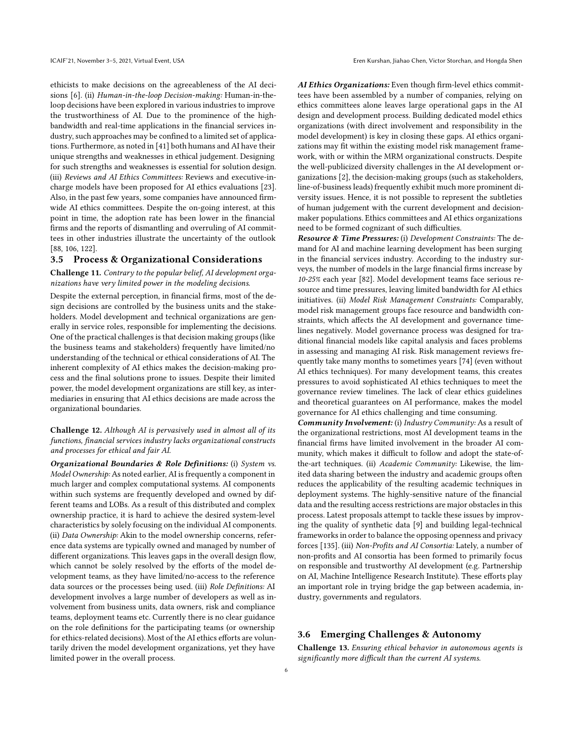ethicists to make decisions on the agreeableness of the AI decisions [\[6\]](#page-7-28). (ii) Human-in-the-loop Decision-making: Human-in-theloop decisions have been explored in various industries to improve the trustworthiness of AI. Due to the prominence of the highbandwidth and real-time applications in the financial services industry, such approaches may be confined to a limited set of applications. Furthermore, as noted in [\[41\]](#page-8-49) both humans and AI have their unique strengths and weaknesses in ethical judgement. Designing for such strengths and weaknesses is essential for solution design. (iii) Reviews and AI Ethics Committees: Reviews and executive-incharge models have been proposed for AI ethics evaluations [\[23](#page-7-29)]. Also, in the past few years, some companies have announced firmwide AI ethics committees. Despite the on-going interest, at this point in time, the adoption rate has been lower in the financial firms and the reports of dismantling and overruling of AI committees in other industries illustrate the uncertainty of the outlook [\[88](#page-8-50), [106](#page-8-51), [122\]](#page-9-20).

#### 3.5 Process & Organizational Considerations

Challenge 11. Contrary to the popular belief, AI development organizations have very limited power in the modeling decisions.

Despite the external perception, in financial firms, most of the design decisions are controlled by the business units and the stakeholders. Model development and technical organizations are generally in service roles, responsible for implementing the decisions. One of the practical challenges is that decision making groups (like the business teams and stakeholders) frequently have limited/no understanding of the technical or ethical considerations of AI. The inherent complexity of AI ethics makes the decision-making process and the final solutions prone to issues. Despite their limited power, the model development organizations are still key, as intermediaries in ensuring that AI ethics decisions are made across the organizational boundaries.

#### Challenge 12. Although AI is pervasively used in almost all of its functions, financial services industry lacks organizational constructs and processes for ethical and fair AI.

Organizational Boundaries & Role Definitions: (i) System vs. Model Ownership: As noted earlier, AI is frequently a component in much larger and complex computational systems. AI components within such systems are frequently developed and owned by different teams and LOBs. As a result of this distributed and complex ownership practice, it is hard to achieve the desired system-level characteristics by solely focusing on the individual AI components. (ii) Data Ownership: Akin to the model ownership concerns, reference data systems are typically owned and managed by number of different organizations. This leaves gaps in the overall design flow, which cannot be solely resolved by the efforts of the model development teams, as they have limited/no-access to the reference data sources or the processes being used. (iii) Role Definitions: AI development involves a large number of developers as well as involvement from business units, data owners, risk and compliance teams, deployment teams etc. Currently there is no clear guidance on the role definitions for the participating teams (or ownership for ethics-related decisions). Most of the AI ethics efforts are voluntarily driven the model development organizations, yet they have limited power in the overall process.

AI Ethics Organizations: Even though firm-level ethics committees have been assembled by a number of companies, relying on ethics committees alone leaves large operational gaps in the AI design and development process. Building dedicated model ethics organizations (with direct involvement and responsibility in the model development) is key in closing these gaps. AI ethics organizations may fit within the existing model risk management framework, with or within the MRM organizational constructs. Despite the well-publicized diversity challenges in the AI development organizations [\[2](#page-7-30)], the decision-making groups (such as stakeholders, line-of-business leads) frequently exhibit much more prominent diversity issues. Hence, it is not possible to represent the subtleties of human judgement with the current development and decisionmaker populations. Ethics committees and AI ethics organizations need to be formed cognizant of such difficulties.

Resource & Time Pressures: (i) Development Constraints: The demand for AI and machine learning development has been surging in the financial services industry. According to the industry surveys, the number of models in the large financial firms increase by 10-25% each year [\[82](#page-8-52)]. Model development teams face serious resource and time pressures, leaving limited bandwidth for AI ethics initiatives. (ii) Model Risk Management Constraints: Comparably, model risk management groups face resource and bandwidth constraints, which affects the AI development and governance timelines negatively. Model governance process was designed for traditional financial models like capital analysis and faces problems in assessing and managing AI risk. Risk management reviews frequently take many months to sometimes years [\[74](#page-8-20)] (even without AI ethics techniques). For many development teams, this creates pressures to avoid sophisticated AI ethics techniques to meet the governance review timelines. The lack of clear ethics guidelines and theoretical guarantees on AI performance, makes the model governance for AI ethics challenging and time consuming.

Community Involvement: (i) Industry Community: As a result of the organizational restrictions, most AI development teams in the financial firms have limited involvement in the broader AI community, which makes it difficult to follow and adopt the state-ofthe-art techniques. (ii) Academic Community: Likewise, the limited data sharing between the industry and academic groups often reduces the applicability of the resulting academic techniques in deployment systems. The highly-sensitive nature of the financial data and the resulting access restrictions are major obstacles in this process. Latest proposals attempt to tackle these issues by improving the quality of synthetic data [\[9\]](#page-7-31) and building legal-technical frameworks in order to balance the opposing openness and privacy forces [\[135\]](#page-9-21). (iii) Non-Profits and AI Consortia: Lately, a number of non-profits and AI consortia has been formed to primarily focus on responsible and trustworthy AI development (e.g. Partnership on AI, Machine Intelligence Research Institute). These efforts play an important role in trying bridge the gap between academia, industry, governments and regulators.

#### 3.6 Emerging Challenges & Autonomy

Challenge 13. Ensuring ethical behavior in autonomous agents is significantly more difficult than the current AI systems.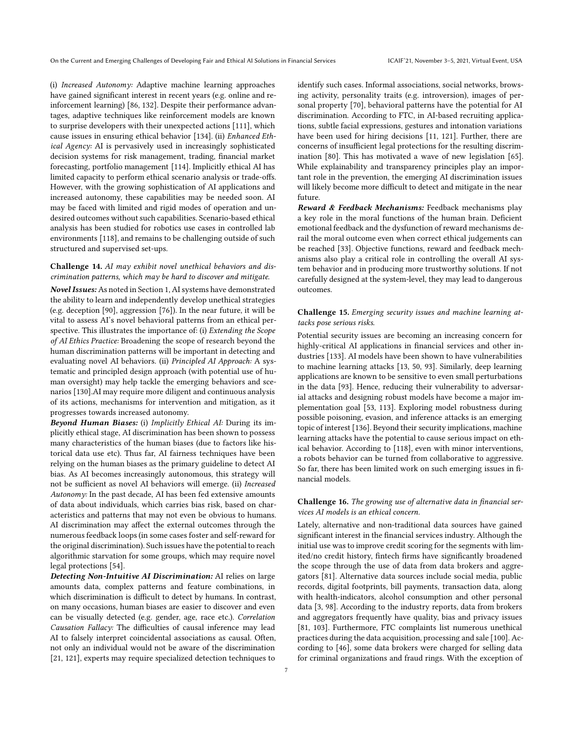(i) Increased Autonomy: Adaptive machine learning approaches have gained significant interest in recent years (e.g. online and reinforcement learning) [\[86,](#page-8-53) [132](#page-9-22)]. Despite their performance advantages, adaptive techniques like reinforcement models are known to surprise developers with their unexpected actions [\[111\]](#page-9-23), which cause issues in ensuring ethical behavior [\[134\]](#page-9-24). (ii) Enhanced Ethical Agency: AI is pervasively used in increasingly sophisticated decision systems for risk management, trading, financial market forecasting, portfolio management [\[114\]](#page-9-25). Implicitly ethical AI has limited capacity to perform ethical scenario analysis or trade-offs. However, with the growing sophistication of AI applications and increased autonomy, these capabilities may be needed soon. AI may be faced with limited and rigid modes of operation and undesired outcomes without such capabilities. Scenario-based ethical analysis has been studied for robotics use cases in controlled lab environments [\[118](#page-9-8)], and remains to be challenging outside of such structured and supervised set-ups.

#### Challenge 14. AI may exhibit novel unethical behaviors and discrimination patterns, which may be hard to discover and mitigate.

Novel Issues: As noted in Section [1,](#page-0-1) AI systems have demonstrated the ability to learn and independently develop unethical strategies (e.g. deception [\[90\]](#page-8-2), aggression [\[76\]](#page-8-54)). In the near future, it will be vital to assess AI's novel behavioral patterns from an ethical perspective. This illustrates the importance of: (i) Extending the Scope of AI Ethics Practice: Broadening the scope of research beyond the human discrimination patterns will be important in detecting and evaluating novel AI behaviors. (ii) Principled AI Approach: A systematic and principled design approach (with potential use of human oversight) may help tackle the emerging behaviors and scenarios [\[130](#page-9-7)].AI may require more diligent and continuous analysis of its actions, mechanisms for intervention and mitigation, as it progresses towards increased autonomy.

Beyond Human Biases: (i) Implicitly Ethical AI: During its implicitly ethical stage, AI discrimination has been shown to possess many characteristics of the human biases (due to factors like historical data use etc). Thus far, AI fairness techniques have been relying on the human biases as the primary guideline to detect AI bias. As AI becomes increasingly autonomous, this strategy will not be sufficient as novel AI behaviors will emerge. (ii) Increased Autonomy: In the past decade, AI has been fed extensive amounts of data about individuals, which carries bias risk, based on characteristics and patterns that may not even be obvious to humans. AI discrimination may affect the external outcomes through the numerous feedback loops (in some cases foster and self-reward for the original discrimination). Such issues have the potential to reach algorithmic starvation for some groups, which may require novel legal protections [\[54\]](#page-8-55).

Detecting Non-Intuitive AI Discrimination: AI relies on large amounts data, complex patterns and feature combinations, in which discrimination is difficult to detect by humans. In contrast, on many occasions, human biases are easier to discover and even can be visually detected (e.g. gender, age, race etc.). Correlation Causation Fallacy: The difficulties of causal inference may lead AI to falsely interpret coincidental associations as causal. Often, not only an individual would not be aware of the discrimination [\[21](#page-7-32), [121](#page-9-26)], experts may require specialized detection techniques to

identify such cases. Informal associations, social networks, browsing activity, personality traits (e.g. introversion), images of personal property [\[70\]](#page-8-56), behavioral patterns have the potential for AI discrimination. According to FTC, in AI-based recruiting applications, subtle facial expressions, gestures and intonation variations have been used for hiring decisions [\[11,](#page-7-33) [121](#page-9-26)]. Further, there are concerns of insufficient legal protections for the resulting discrimination [\[80\]](#page-8-57). This has motivated a wave of new legislation [\[65\]](#page-8-48). While explainability and transparency principles play an important role in the prevention, the emerging AI discrimination issues will likely become more difficult to detect and mitigate in the near future.

Reward & Feedback Mechanisms: Feedback mechanisms play a key role in the moral functions of the human brain. Deficient emotional feedback and the dysfunction of reward mechanisms derail the moral outcome even when correct ethical judgements can be reached [\[33](#page-7-34)]. Objective functions, reward and feedback mechanisms also play a critical role in controlling the overall AI system behavior and in producing more trustworthy solutions. If not carefully designed at the system-level, they may lead to dangerous outcomes.

#### Challenge 15. Emerging security issues and machine learning attacks pose serious risks.

Potential security issues are becoming an increasing concern for highly-critical AI applications in financial services and other industries [\[133\]](#page-9-27). AI models have been shown to have vulnerabilities to machine learning attacks [\[13,](#page-7-35) [50,](#page-8-58) [93](#page-8-59)]. Similarly, deep learning applications are known to be sensitive to even small perturbations in the data [\[93](#page-8-59)]. Hence, reducing their vulnerability to adversarial attacks and designing robust models have become a major implementation goal [\[53](#page-8-60), [113\]](#page-9-28). Exploring model robustness during possible poisoning, evasion, and inference attacks is an emerging topic of interest [\[136](#page-9-29)]. Beyond their security implications, machine learning attacks have the potential to cause serious impact on ethical behavior. According to [\[118](#page-9-8)], even with minor interventions, a robots behavior can be turned from collaborative to aggressive. So far, there has been limited work on such emerging issues in financial models.

#### Challenge 16. The growing use of alternative data in financial services AI models is an ethical concern.

Lately, alternative and non-traditional data sources have gained significant interest in the financial services industry. Although the initial use was to improve credit scoring for the segments with limited/no credit history, fintech firms have significantly broadened the scope through the use of data from data brokers and aggregators [\[81](#page-8-61)]. Alternative data sources include social media, public records, digital footprints, bill payments, transaction data, along with health-indicators, alcohol consumption and other personal data [\[3](#page-7-36), [98](#page-8-62)]. According to the industry reports, data from brokers and aggregators frequently have quality, bias and privacy issues [\[81,](#page-8-61) [103](#page-8-63)]. Furthermore, FTC complaints list numerous unethical practices during the data acquisition, processing and sale [\[100\]](#page-8-64). According to [\[46\]](#page-8-65), some data brokers were charged for selling data for criminal organizations and fraud rings. With the exception of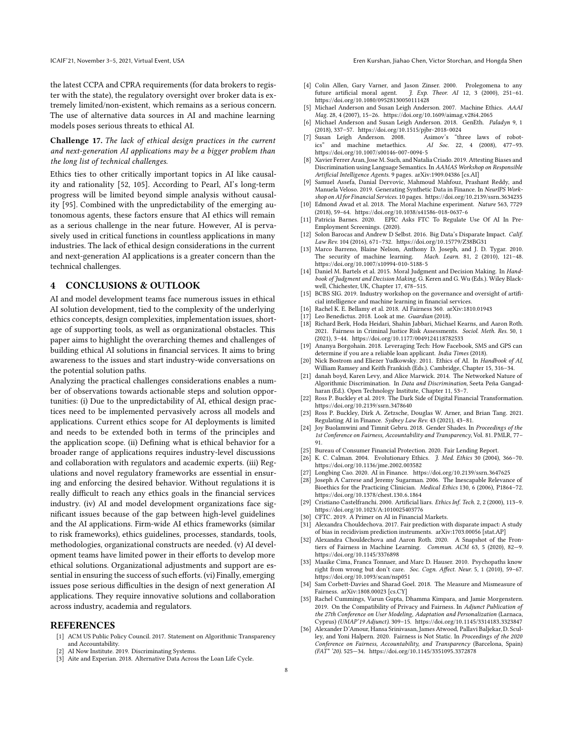the latest CCPA and CPRA requirements (for data brokers to register with the state), the regulatory oversight over broker data is extremely limited/non-existent, which remains as a serious concern. The use of alternative data sources in AI and machine learning models poses serious threats to ethical AI.

#### Challenge 17. The lack of ethical design practices in the current and next-generation AI applications may be a bigger problem than the long list of technical challenges.

Ethics ties to other critically important topics in AI like causality and rationality [\[52](#page-8-66), [105\]](#page-8-67). According to Pearl, AI's long-term progress will be limited beyond simple analysis without causality [\[95](#page-8-68)]. Combined with the unpredictability of the emerging autonomous agents, these factors ensure that AI ethics will remain as a serious challenge in the near future. However, AI is pervasively used in critical functions in countless applications in many industries. The lack of ethical design considerations in the current and next-generation AI applications is a greater concern than the technical challenges.

#### <span id="page-7-2"></span>4 CONCLUSIONS & OUTLOOK

AI and model development teams face numerous issues in ethical AI solution development, tied to the complexity of the underlying ethics concepts, design complexities, implementation issues, shortage of supporting tools, as well as organizational obstacles. This paper aims to highlight the overarching themes and challenges of building ethical AI solutions in financial services. It aims to bring awareness to the issues and start industry-wide conversations on the potential solution paths.

Analyzing the practical challenges considerations enables a number of observations towards actionable steps and solution opportunities: (i) Due to the unpredictability of AI, ethical design practices need to be implemented pervasively across all models and applications. Current ethics scope for AI deployments is limited and needs to be extended both in terms of the principles and the application scope. (ii) Defining what is ethical behavior for a broader range of applications requires industry-level discussions and collaboration with regulators and academic experts. (iii) Regulations and novel regulatory frameworks are essential in ensuring and enforcing the desired behavior. Without regulations it is really difficult to reach any ethics goals in the financial services industry. (iv) AI and model development organizations face significant issues because of the gap between high-level guidelines and the AI applications. Firm-wide AI ethics frameworks (similar to risk frameworks), ethics guidelines, processes, standards, tools, methodologies, organizational constructs are needed. (v) AI development teams have limited power in their efforts to develop more ethical solutions. Organizational adjustments and support are essential in ensuring the success of such efforts. (vi) Finally, emerging issues pose serious difficulties in the design of next generation AI applications. They require innovative solutions and collaboration across industry, academia and regulators.

#### REFERENCES

- <span id="page-7-23"></span>[1] ACM US Public Policy Council. 2017. Statement on Algorithmic Transparency and Accountability.
- <span id="page-7-30"></span>AI Now Institute. 2019. Discriminating Systems.
- <span id="page-7-36"></span>[3] Aite and Experian. 2018. Alternative Data Across the Loan Life Cycle.
- <span id="page-7-27"></span>[4] Colin Allen, Gary Varner, and Jason Zinser. 2000. Prolegomena to any future artificial moral agent. J. Exp. Theor. AI 12, 3 (2000), 251-61. https://doi.org/10.[1080/09528130050111428](https://doi.org/10.1080/09528130050111428)
- <span id="page-7-8"></span>[5] Michael Anderson and Susan Leigh Anderson. 2007. Machine Ethics. AAAI Mag. 28, 4 (2007), 15–26. https://doi.org/10.[1609/aimag](https://doi.org/10.1609/aimag.v28i4.2065).v28i4.2065
- <span id="page-7-28"></span>[6] Michael Anderson and Susan Leigh Anderson. 2018. GenEth. Paladyn 9, 1 (2018), 337–57. https://doi.org/10.[1515/pjbr-2018-0024](https://doi.org/10.1515/pjbr-2018-0024)
- <span id="page-7-20"></span> $\left[ 7\right]$ Susan Leigh Anderson. 2008. ics" and machine metaethics. AI Soc. 22, 4 (2008), 477–93. https://doi.org/10.[1007/s00146-007-0094-5](https://doi.org/10.1007/s00146-007-0094-5)
- <span id="page-7-5"></span>[8] Xavier Ferrer Aran, Jose M. Such, and Natalia Criado. 2019. Attesting Biases and Discrimination using Language Semantics. In AAMAS Workshop on Responsible Artificial Intelligence Agents. 9 pages. arXiv[:1909.04386](https://arxiv.org/abs/1909.04386) [cs.AI]
- <span id="page-7-31"></span>[9] Samuel Assefa, Danial Dervovic, Mahmoud Mahfouz, Prashant Reddy, and Manuela Veloso. 2019. Generating Synthetic Data in Finance. In NeurIPS Workshop on AI for Financial Services. 10 pages. [https://doi](https://doi.org/10.2139/ssrn.3634235).org/10.2139/ssrn.3634235
- <span id="page-7-9"></span>[10] Edmond Awad et al. 2018. The Moral Machine experiment. Nature 563, 7729 (2018), 59–64. https://doi.org/10.[1038/s41586-018-0637-6](https://doi.org/10.1038/s41586-018-0637-6)
- <span id="page-7-33"></span>[11] Patricia Barnes. 2020. EPIC Asks FTC To Regulate Use Of AI In Pre-Employment Screenings. (2020).
- <span id="page-7-19"></span>[12] Solon Barocas and Andrew D Selbst. 2016. Big Data's Disparate Impact. Calif. Law Rev. 104 (2016), 671–732. https://doi.org/10.[15779/Z38BG31](https://doi.org/10.15779/Z38BG31)
- <span id="page-7-35"></span>[13] Marco Barreno, Blaine Nelson, Anthony D. Joseph, and J. D. Tygar. 2010. Mach. Learn. 81, 2 (2010), 121-48. https://doi.org/10.[1007/s10994-010-5188-5](https://doi.org/10.1007/s10994-010-5188-5)
- <span id="page-7-21"></span>[14] Daniel M. Bartels et al. 2015. Moral Judgment and Decision Making. In Handbook of Judgment and Decision Making, G. Keren and G. Wu (Eds.). Wiley Blackwell, Chichester, UK, Chapter 17, 478–515.
- <span id="page-7-26"></span>[15] BCBS SIG. 2019. Industry workshop on the governance and oversight of artificial intelligence and machine learning in financial services.
- <span id="page-7-24"></span>[16] Rachel K. E. Bellamy et al. 2018. AI Fairness 360. arXiv[:1810.01943](https://arxiv.org/abs/1810.01943)
- <span id="page-7-22"></span>[17] Leo Benedictus. 2018. Look at me. Guardian (2018).
- <span id="page-7-13"></span>[18] Richard Berk, Hoda Heidari, Shahin Jabbari, Michael Kearns, and Aaron Roth. 2021. Fairness in Criminal Justice Risk Assessments. Sociol. Meth. Res. 50, 1 (2021), 3–44. https://doi.org/10.[1177/0049124118782533](https://doi.org/10.1177/0049124118782533)
- <span id="page-7-7"></span>[19] Ananya Borgohain. 2018. Leveraging Tech: How Facebook, SMS and GPS can determine if you are a reliable loan applicant. India Times (2018).
- <span id="page-7-14"></span>[20] Nick Bostrom and Eliezer Yudkowsky. 2011. Ethics of AI. In Handbook of AI, William Ramsey and Keith Frankish (Eds.). Cambridge, Chapter 15, 316–34.
- <span id="page-7-32"></span>[21] danah boyd, Karen Levy, and Alice Marwick. 2014. The Networked Nature of Algorithmic Discrimination. In Data and Discrimination, Seeta Peña Gangadharan (Ed.). Open Technology Institute, Chapter 11, 53–7.
- <span id="page-7-6"></span>[22] Ross P. Buckley et al. 2019. The Dark Side of Digital Financial Transformation. [https://doi](https://doi.org/10.2139/ssrn.3478640).org/10.2139/ssrn.3478640
- <span id="page-7-29"></span>[23] Ross P. Buckley, Dirk A. Zetzsche, Douglas W. Arner, and Brian Tang. 2021. Regulating AI in Finance. Sydney Law Rev. 43 (2021), 43–81.
- <span id="page-7-4"></span>[24] Joy Buolamwini and Timnit Gebru. 2018. Gender Shades. In Proceedings of the 1st Conference on Fairness, Accountability and Transparency, Vol. 81. PMLR, 77– 91.
- <span id="page-7-3"></span>[25] Bureau of Consumer Financial Protection. 2020. Fair Lending Report.
- <span id="page-7-10"></span>[26] K. C. Calman. 2004. Evolutionary Ethics. J. Med. Ethics 30 (2004), 366–70. [https://doi](https://doi.org/10.1136/jme.2002.003582).org/10.1136/jme.2002.003582
- <span id="page-7-0"></span>[27] Longbing Cao. 2020. AI in Finance. [https://doi](https://doi.org/10.2139/ssrn.3647625).org/10.2139/ssrn.3647625
- <span id="page-7-11"></span>[28] Joseph A Carrese and Jeremy Sugarman. 2006. The Inescapable Relevance of Bioethics for the Practicing Clinician. Medical Ethics 130, 6 (2006), P1864–72. https://doi.org/10.[1378/chest](https://doi.org/10.1378/chest.130.6.1864).130.6.1864
- <span id="page-7-1"></span>[29] Cristiano Castelfranchi. 2000. Artificial liars. Ethics Inf. Tech. 2, 2 (2000), 113–9. https://doi.org/10.[1023/A:1010025403776](https://doi.org/10.1023/A:1010025403776)
- <span id="page-7-25"></span>[30] CFTC. 2019. A Primer on AI in Financial Markets.
- <span id="page-7-17"></span>[31] Alexandra Chouldechova. 2017. Fair prediction with disparate impact: A study of bias in recidivism prediction instruments. arXiv[:1703.00056](https://arxiv.org/abs/1703.00056) [stat.AP]
- <span id="page-7-12"></span>[32] Alexandra Chouldechova and Aaron Roth. 2020. A Snapshot of the Frontiers of Fairness in Machine Learning. Commun. ACM 63, 5 (2020), 82—9. https://doi.org/10.[1145/3376898](https://doi.org/10.1145/3376898)
- <span id="page-7-34"></span>[33] Maaike Cima, Franca Tonnaer, and Marc D. Hauser. 2010. Psychopaths know right from wrong but don't care. Soc. Cogn. Affect. Neur. 5, 1 (2010), 59–67. https://doi.org/10.[1093/scan/nsp051](https://doi.org/10.1093/scan/nsp051)
- <span id="page-7-18"></span>[34] Sam Corbett-Davies and Sharad Goel. 2018. The Measure and Mismeasure of Fairness. arXiv[:1808.00023](https://arxiv.org/abs/1808.00023) [cs.CY]
- <span id="page-7-16"></span>[35] Rachel Cummings, Varun Gupta, Dhamma Kimpara, and Jamie Morgenstern. 2019. On the Compatibility of Privacy and Fairness. In Adjunct Publication of the 27th Conference on User Modeling, Adaptation and Personalization (Larnaca, Cyprus) (UMAP'19 Adjunct). 309–15. https://doi.org/10.[1145/3314183](https://doi.org/10.1145/3314183.3323847).3323847
- <span id="page-7-15"></span>[36] Alexander D'Amour, Hansa Srinivasan, James Atwood, Pallavi Baljekar, D. Sculley, and Yoni Halpern. 2020. Fairness is Not Static. In Proceedings of the 2020 Conference on Fairness, Accountability, and Transparency (Barcelona, Spain) (FAT\* '20). 525—34. https://doi.org/10.[1145/3351095](https://doi.org/10.1145/3351095.3372878).3372878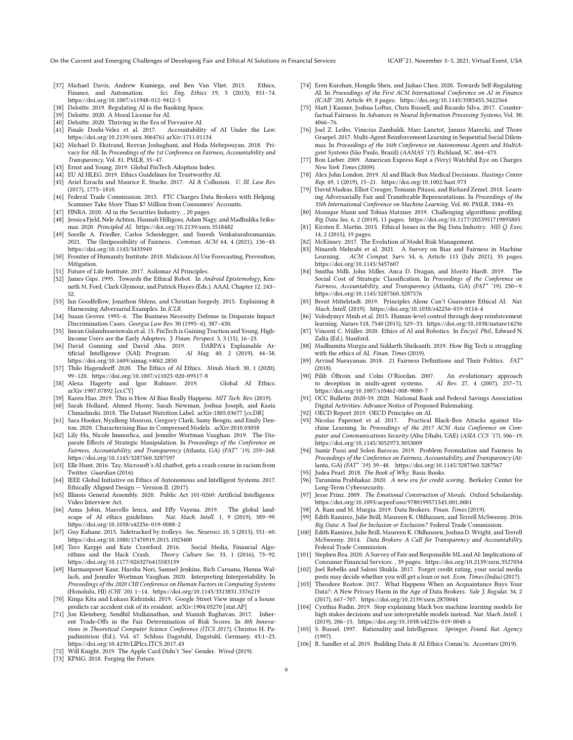On the Current and Emerging Challenges of Developing Fair and Ethical AI Solutions in Financial Services ICAIF'21, November 3-5, 2021, Virtual Event, USA

- <span id="page-8-35"></span>[37] Michael Davis, Andrew Kumiega, and Ben Van Vliet. 2013. Ethics, Finance, and Automation. Sci. Eng. Ethics 19, 3 (2013), 851-74. https://doi.org/10.[1007/s11948-012-9412-5](https://doi.org/10.1007/s11948-012-9412-5)
- <span id="page-8-46"></span>[38] Deloitte. 2019. Regulating AI in the Banking Space.<br>[39] Deloitte. 2020. A Moral License for AI
- <span id="page-8-44"></span>Deloitte. 2020. A Moral License for AI.
- <span id="page-8-0"></span> $\left[\begin{smallmatrix}40\end{smallmatrix}\right]$  Deloitte. 2020. Thriving in the Era of Pervasive AI.  $\left[\begin{smallmatrix}41\end{smallmatrix}\right]$  Finale Doshi-Velez et al. 2017. Accountabilit
- <span id="page-8-49"></span>Accountability of AI Under the Law. [https://doi](https://doi.org/10.2139/ssrn.3064761).org/10.2139/ssrn.3064761 arXiv[:1711.01134](https://arxiv.org/abs/1711.01134)
- <span id="page-8-25"></span>[42] Michael D. Ekstrand, Rezvan Joshaghani, and Hoda Mehrpouyan. 2018. Privacy for All. In Proceedings of the 1st Conference on Fairness, Accountability and Transparency, Vol. 81. PMLR, 35–47.
- <span id="page-8-7"></span>[43] Ernst and Young. 2019. Global FinTech Adoption Index.
- <span id="page-8-45"></span>[44] EU AI HLEG. 2019. Ethics Guidelines for Trustworthy AI.
- <span id="page-8-38"></span>[45] Ariel Ezrachi and Maurice E. Stucke. 2017. AI & Collusion. U. Ill. Law Rev. (2017), 1775–1810.
- <span id="page-8-65"></span>[46] Federal Trade Commission. 2015. FTC Charges Data Brokers with Helping Scammer Take More Than \$7 Million from Consumers' Accounts.
- <span id="page-8-18"></span><span id="page-8-6"></span>[47] FINRA. 2020. AI in the Securities Industry. , 20 pages. [48] Jessica Fjeld, Nele Achten, Hannah Hilligoss, Adam Nagy, and Madhulika Srikumar. 2020. Principled AI. [https://doi](https://doi.org/10.2139/ssrn.3518482).org/10.2139/ssrn.3518482
- <span id="page-8-21"></span>[49] Sorelle A. Friedler, Carlos Scheidegger, and Suresh Venkatasubramanian. 2021. The (Im)possibility of Fairness. Commun. ACM 64, 4 (2021), 136–43. https://doi.org/10.[1145/3433949](https://doi.org/10.1145/3433949)
- <span id="page-8-58"></span>[50] Frontier of Humanity Institute. 2018. Malicious AI Use Forecasting, Prevention, Mitigation.
- <span id="page-8-41"></span>[51] Future of Life Institute. 2017. Asilomar AI Principles.
- <span id="page-8-66"></span>[52] James Gips. 1995. Towards the Ethical Robot. In Android Epistemology, Kenneth M. Ford, Clark Glymour, and Patrick Hayes (Eds.). AAAI, Chapter 12, 243– 52.
- <span id="page-8-60"></span>[53] Ian Goodfellow, Jonathon Shlens, and Christian Szegedy. 2015. Explaining & Harnessing Adversarial Examples. In ICLR.
- <span id="page-8-55"></span>[54] Susan Grover. 1995–6. The Business Necessity Defense in Disparate Impact Discrimination Cases. Georgia Law Rev. 30 (1995–6), 387–430.
- <span id="page-8-8"></span>[55] Imran Gulamhuseinwala et al. 15. FinTech is Gaining Traction and Young, High-Income Users are the Early Adopters. *J. Finan. Perspect.* 3, 3 (15), 16–23.<br>David Gunning and David Aha. 2019. DARPA's Explainable Ar-
- <span id="page-8-24"></span>[56] David Gunning and David Aha. 2019.<br>tificial Intelligence (XAI) Program. tificial Intelligence (2019), 44-58. https://doi.org/10.[1609/aimag](https://doi.org/10.1609/aimag.v40i2.2850).v40i2.2850
- <span id="page-8-27"></span>[57] Thilo Hagendorff. 2020. The Ethics of AI Ethics. Minds Mach. 30, 1 (2020), 99–120. https://doi.org/10.[1007/s11023-020-09517-8](https://doi.org/10.1007/s11023-020-09517-8)
- <span id="page-8-36"></span>[58] Alexa Hagerty and Igor Rubinov. 2019. Global AI Ethics. arXiv[:1907.07892](https://arxiv.org/abs/1907.07892) [cs.CY]
- <span id="page-8-19"></span>[59] Karen Hao. 2019. This is How AI Bias Really Happens. MIT Tech. Rev. (2019). [60] Sarah Holland, Ahmed Hosny, Sarah Newman, Joshua Joseph, and Kasia
- <span id="page-8-34"></span>Chmielinski. 2018. The Dataset Nutrition Label. arXiv[:1805.03677](https://arxiv.org/abs/1805.03677) [cs.DB] [61] Sara Hooker, Nyalleng Moorosi, Gregory Clark, Samy Bengio, and Emily Den-
- <span id="page-8-33"></span><span id="page-8-30"></span>ton. 2020. Characterising Bias in Compressed Models. arXiv[:2010.03058](https://arxiv.org/abs/2010.03058) [62] Lily Hu, Nicole Immorlica, and Jennifer Wortman Vaughan. 2019. The Disparate Effects of Strategic Manipulation. In Proceedings of the Conference on Fairness, Accountability, and Transparency (Atlanta, GA) (FAT\* '19). 259–268.
- <span id="page-8-1"></span>https://doi.org/10.[1145/3287560](https://doi.org/10.1145/3287560.3287597).3287597 [63] Elle Hunt. 2016. Tay, Microsoft's AI chatbot, gets a crash course in racism from Twitter. Guardian (2016).
- <span id="page-8-40"></span>[64] IEEE Global Initiative on Ethics of Autonomous and Intelligent Systems. 2017. Ethically Aligned Design — Version II. (2017).
- <span id="page-8-48"></span>[65] Illinois General Assembly. 2020. Public Act 101-0260: Artificial Intelligence Video Interview Act.
- <span id="page-8-13"></span>[66] Anna Jobin, Marcello Ienca, and Effy Vayena. 2019. The global landscape of AI ethics guidelines. Nat. Mach. Intell. 1, 9 (2019), 389-99. https://doi.org/10.[1038/s42256-019-0088-2](https://doi.org/10.1038/s42256-019-0088-2)
- <span id="page-8-14"></span>[67] Guy Kahane. 2015. Sidetracked by trolleys. Soc. Neurosci. 10, 5 (2015), 551–60. https://doi.org/10.[1080/17470919](https://doi.org/10.1080/17470919.2015.1023400).2015.1023400
- <span id="page-8-37"></span>[68] Tero Karppi and Kate Crawford. 2016. rithms and the Hack Crash. Theory Culture Soc. 33, 1 (2016), 73–92. https://doi.org/10.[1177/0263276415583139](https://doi.org/10.1177/0263276415583139)
- [69] Harmanpreet Kaur, Harsha Nori, Samuel Jenkins, Rich Caruana, Hanna Wallach, and Jennifer Wortman Vaughan. 2020. Interpreting Interpretability. In Proceedings of the 2020 CHI Conference on Human Factors in Computing Systems (Honolulu, HI) (CHI '20). 1–14. https://doi.org/10.[1145/3313831](https://doi.org/10.1145/3313831.3376219).3376219
- <span id="page-8-56"></span>[70] Kinga Kita and Łukasz Kidziński. 2019. Google Street View image of a house predicts car accident risk of its resident. arXiv[:1904.05270](https://arxiv.org/abs/1904.05270) [stat.AP]
- <span id="page-8-26"></span>[71] Jon Kleinberg, Sendhil Mullainathan, and Manish Raghavan. 2017. Inherent Trade-Offs in the Fair Determination of Risk Scores. In 8th Innovations in Theoretical Computer Science Conference (ITCS 2017), Christos H. Papadimitriou (Ed.), Vol. 67. Schloss Dagstuhl, Dagstuhl, Germany, 43:1–23. https://doi.org/10.[4230/LIPIcs](https://doi.org/10.4230/LIPIcs.ITCS.2017.43).ITCS.2017.43
- <span id="page-8-5"></span>[72] Will Knight. 2019. The Apple Card Didn't 'See' Gender. Wired (2019).
- <span id="page-8-12"></span>[73] KPMG. 2018. Forging the Future.
- <span id="page-8-20"></span>[74] Eren Kurshan, Hongda Shen, and Jiahao Chen. 2020. Towards Self-Regulating AI. In Proceedings of the First ACM International Conference on AI in Finance (ICAIF '20). Article 49, 8 pages. https://doi.org/10.[1145/3383455](https://doi.org/10.1145/3383455.3422564).3422564
- <span id="page-8-29"></span>Matt J Kusner, Joshua Loftus, Chris Russell, and Ricardo Silva. 2017. Counterfactual Fairness. In Advances in Neural Information Processing Systems, Vol. 30. 4066–76.
- <span id="page-8-54"></span>[76] Joel Z. Leibo, Vinicius Zambaldi, Marc Lanctot, Janusz Marecki, and Thore Graepel. 2017. Multi-Agent Reinforcement Learning in Sequential Social Dilemmas. In Proceedings of the 16th Conference on Autonomous Agents and MultiAgent Systems (São Paulo, Brazil) (AAMAS '17). Richland, SC, 464–473.
- <span id="page-8-3"></span>[77] Ron Lieber. 2009. American Express Kept a (Very) Watchful Eye on Charges. New York Times (2009).
- <span id="page-8-22"></span>Alex John London. 2019. AI and Black-Box Medical Decisions. Hastings Center Rep. 49, 1 (2019), 15–21. [https://doi](https://doi.org/10.1002/hast.973).org/10.1002/hast.973
- <span id="page-8-16"></span>[79] David Madras, Elliot Creager, Toniann Pitassi, and Richard Zemel. 2018. Learning Adversarially Fair and Transferable Representations. In Proceedings of the 35th International Conference on Machine Learning, Vol. 80. PMLR, 3384–93.
- <span id="page-8-57"></span>[80] Monique Mann and Tobias Matzner. 2019. Challenging algorithmic profiling. Big Data Soc. 6, 2 (2019), 11 pages. https://doi.org/10.[1177/2053951719895805](https://doi.org/10.1177/2053951719895805)
- <span id="page-8-61"></span>[81] Kirsten E. Martin. 2015. Ethical Issues in the Big Data Industry. MIS Q. Exec. 14, 2 (2015), 19 pages.
- <span id="page-8-52"></span>[82] McKinsey. 2017. The Evolution of Model Risk Management.
- <span id="page-8-17"></span>[83] Ninareh Mehrabi et al. 2021. A Survey on Bias and Fairness in Machine Learning. ACM Comput. Surv. 54, 6, Article 115 (July 2021), 35 pages. https://doi.org/10.[1145/3457607](https://doi.org/10.1145/3457607)
- <span id="page-8-28"></span>[84] Smitha Milli, John Miller, Anca D. Dragan, and Moritz Hardt. 2019. The Social Cost of Strategic Classification. In Proceedings of the Conference on Fairness, Accountability, and Transparency (Atlanta, GA) (FAT\* '19). 230—9. https://doi.org/10.[1145/3287560](https://doi.org/10.1145/3287560.3287576).3287576
- <span id="page-8-42"></span>[85] Brent Mittelstadt. 2019. Principles Alone Can't Guarantee Ethical AI. Nat. Mach. Intell. (2019). https://doi.org/10.[1038/s42256-019-0114-4](https://doi.org/10.1038/s42256-019-0114-4)
- <span id="page-8-53"></span>[86] Volodymyr Mnih et al. 2015. Human-level control through deep reinforcement learning. Nature 518, 7540 (2015), 529–33. https://doi.org/10.[1038/nature14236](https://doi.org/10.1038/nature14236)
- <span id="page-8-43"></span>[87] Vincent C. Müller. 2020. Ethics of AI and Robotics. In Encycl. Phil., Edward N. Zalta (Ed.). Stanford.
- <span id="page-8-50"></span>[88] Madhumita Murgia and Siddarth Shrikanth. 2019. How Big Tech is struggling with the ethics of AI. Finan. Times (2019).
- <span id="page-8-31"></span>[89] Arvind Narayanan. 2018. 21 Fairness Definitions and Their Politics. FAT\* (2018).
- <span id="page-8-2"></span>[90] Pilib ÓBroin and Colm O'Riordan. 2007. An evolutionary approach to deception in multi-agent systems. AI Rev. 27, 4 (2007), 257–71. https://doi.org/10.[1007/s10462-008-9080-7](https://doi.org/10.1007/s10462-008-9080-7)
- <span id="page-8-47"></span>[91] OCC Bulletin 2020-59. 2020. National Bank and Federal Savings Association Digital Activities: Advance Notice of Proposed Rulemaking.
- <span id="page-8-39"></span>[92] OECD Report 2019. OECD Principles on AI.
- <span id="page-8-59"></span>[93] Nicolas Papernot et al. 2017. Practical Black-Box Attacks against Machine Learning. In Proceedings of the 2017 ACM Asia Conference on Computer and Communications Security (Abu Dhabi, UAE) (ASIA CCS '17). 506–19. https://doi.org/10.[1145/3052973](https://doi.org/10.1145/3052973.3053009).3053009
- <span id="page-8-32"></span>[94] Samir Passi and Solon Barocas. 2019. Problem Formulation and Fairness. In Proceedings of the Conference on Fairness, Accountability, and Transparency (Atlanta, GA) (FAT\* '19). 39–48. https://doi.org/10.[1145/3287560](https://doi.org/10.1145/3287560.3287567).3287567
- <span id="page-8-68"></span>Judea Pearl. 2018. The Book of Why. Basic Books.
- <span id="page-8-9"></span>[96] Tarunima Prabhakar. 2020. A new era for credit scoring. Berkeley Center for Long-Term Cybersecurity.
- <span id="page-8-15"></span>[97] Jesse Prinz. 2009. The Emotional Construction of Morals. Oxford Scholarship. https://doi.org/10.[1093/acprof:oso/9780199571543](https://doi.org/10.1093/acprof:oso/9780199571543.001.0001).001.0001
- <span id="page-8-62"></span>[98] A. Ram and M. Murgia. 2019. Data Brokers. Finan. Times (2019).
- <span id="page-8-4"></span>Edith Ramirez, Julie Brill, Maureen K. Ohlhausen, and Terrell McSweeny. 2016. Big Data: A Tool for Inclusion or Exclusion? Federal Trade Commission.
- <span id="page-8-64"></span>[100] Edith Ramirez, Julie Brill, Maureen K. Ohlhausen, Joshua D. Wright, and Terrell McSweeny. 2014. Data Brokers: A Call for Transparency and Accountability. Federal Trade Commission.
- <span id="page-8-11"></span>[101] Stephen Rea. 2020. A Survey of Fair and Responsible ML and AI: Implications of Consumer Financial Services. , 39 pages. [https://doi](https://doi.org/10.2139/ssrn.3527034).org/10.2139/ssrn.3527034
- <span id="page-8-10"></span>[102] Joel Rebello and Saloni Shukla. 2017. Forget credit rating, your social media posts may decide whether you will get a loan or not. Econ. Times (India) (2017).
- <span id="page-8-63"></span>[103] Theodore Rostow. 2017. What Happens When an Acquaintance Buys Your Data?: A New Privacy Harm in the Age of Data Brokers. Yale J. Regulat. 34, 2 (2017), 667–707. [https://doi](https://doi.org/10.2139/ssrn.2870044).org/10.2139/ssrn.2870044
- <span id="page-8-23"></span>[104] Cynthia Rudin. 2019. Stop explaining black box machine learning models for high stakes decisions and use interpretable models instead. Nat. Mach. Intell. 1 (2019), 206–15. https://doi.org/10.[1038/s42256-019-0048-x](https://doi.org/10.1038/s42256-019-0048-x)
- <span id="page-8-67"></span>[105] S. Russel. 1997. Rationality and Intelligence. Springer, Found. Rat. Agency (1997).
- <span id="page-8-51"></span>[106] R. Sandler et al. 2019. Building Data & AI Ethics Comm'ts. Accenture (2019).